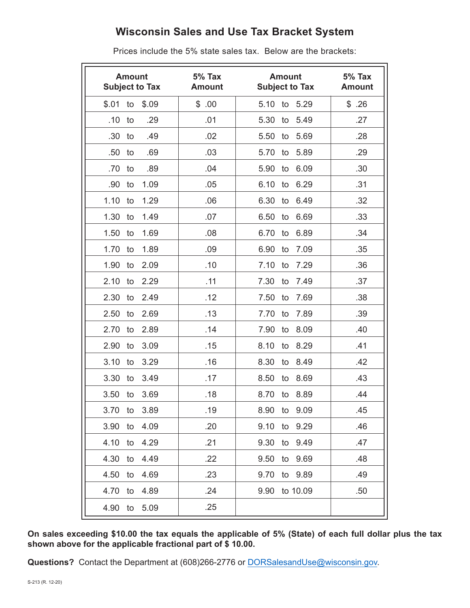## **Wisconsin Sales and Use Tax Bracket System**

|         | <b>Amount</b> | <b>Subject to Tax</b> | $5%$ Tax<br><b>Amount</b> | <b>Amount</b><br><b>Subject to Tax</b> | <b>5% Tax</b><br><b>Amount</b> |
|---------|---------------|-----------------------|---------------------------|----------------------------------------|--------------------------------|
| \$.01   | to            | \$.09                 | \$.00                     | 5.10 to 5.29                           | \$.26                          |
| .10     | to            | .29                   | .01                       | 5.30<br>5.49<br>to                     | .27                            |
| .30     | to            | .49                   | .02                       | 5.69<br>5.50<br>to                     | .28                            |
| .50     | to            | .69                   | .03                       | 5.89<br>5.70<br>to                     | .29                            |
| .70     | to            | .89                   | .04                       | 5.90<br>6.09<br>to                     | .30                            |
| .90     | to            | 1.09                  | .05                       | 6.10<br>6.29<br>to                     | .31                            |
| 1.10    | to            | 1.29                  | .06                       | 6.30<br>6.49<br>to                     | .32                            |
| 1.30    | to            | 1.49                  | .07                       | 6.69<br>6.50<br>to                     | .33                            |
| 1.50    | to            | 1.69                  | .08                       | 6.70<br>6.89<br>to                     | .34                            |
| 1.70    | to            | 1.89                  | .09                       | 7.09<br>6.90<br>to                     | .35                            |
| 1.90    | to            | 2.09                  | .10                       | 7.10<br>7.29<br>to                     | .36                            |
| 2.10    | to            | 2.29                  | .11                       | 7.30<br>7.49<br>to                     | .37                            |
| 2.30    | to            | 2.49                  | .12                       | 7.50<br>7.69<br>to                     | .38                            |
| 2.50    | to            | 2.69                  | .13                       | 7.89<br>7.70<br>to                     | .39                            |
| 2.70    | to            | 2.89                  | .14                       | 7.90<br>8.09<br>to                     | .40                            |
| 2.90    | to            | 3.09                  | .15                       | 8.10<br>8.29<br>to                     | .41                            |
| 3.10    | to            | 3.29                  | .16                       | 8.30<br>8.49<br>to                     | .42                            |
| 3.30    | to            | 3.49                  | .17                       | 8.50<br>8.69<br>to                     | .43                            |
| 3.50    | to            | 3.69                  | .18                       | 8.89<br>8.70<br>to                     | .44                            |
| 3.70    | to            | 3.89                  | .19                       | 8.90<br>to<br>9.09                     | .45                            |
| 3.90    | to            | 4.09                  | .20                       | 9.10<br>9.29<br>to                     | .46                            |
| 4.10    | to            | 4.29                  | .21                       | 9.30<br>9.49<br>to                     | .47                            |
| 4.30    | to            | 4.49                  | .22                       | 9.50<br>9.69<br>to                     | .48                            |
| 4.50    | to            | 4.69                  | .23                       | 9.70<br>9.89<br>to                     | .49                            |
| 4.70 to |               | 4.89                  | .24                       | 9.90<br>to 10.09                       | .50                            |
| 4.90 to |               | 5.09                  | .25                       |                                        |                                |

Prices include the 5% state sales tax. Below are the brackets:

**On sales exceeding \$10.00 the tax equals the applicable of 5% (State) of each full dollar plus the tax shown above for the applicable fractional part of \$ 10.00.**

**Questions?** Contact the Department at (608)266-2776 or [DORSalesandUse@wisconsin.gov](mailto:DORSalesandUse@wisconsin.gov).